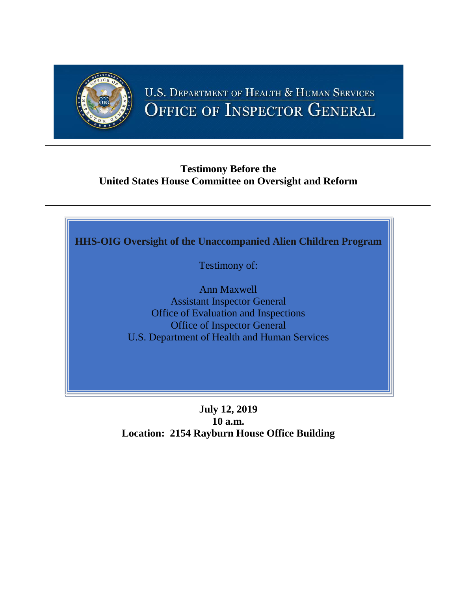

# **U.S. DEPARTMENT OF HEALTH & HUMAN SERVICES** OFFICE OF INSPECTOR GENERAL

## **Testimony Before the United States House Committee on Oversight and Reform**



Testimony of:

Ann Maxwell Assistant Inspector General Office of Evaluation and Inspections Office of Inspector General U.S. Department of Health and Human Services

**July 12, 2019 10 a.m. Location: 2154 Rayburn House Office Building**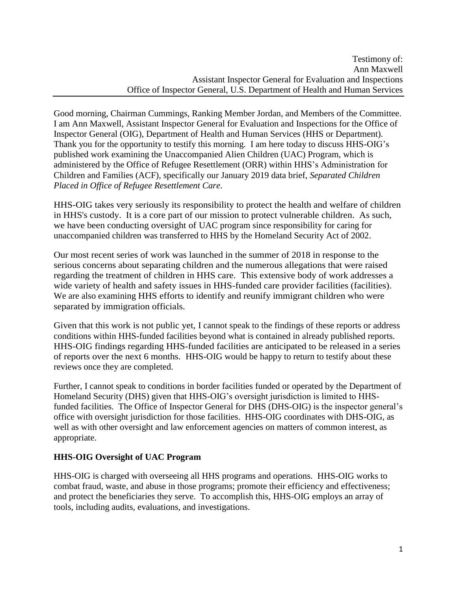Good morning, Chairman Cummings, Ranking Member Jordan, and Members of the Committee. I am Ann Maxwell, Assistant Inspector General for Evaluation and Inspections for the Office of Inspector General (OIG), Department of Health and Human Services (HHS or Department). Thank you for the opportunity to testify this morning. I am here today to discuss HHS-OIG's published work examining the Unaccompanied Alien Children (UAC) Program, which is administered by the Office of Refugee Resettlement (ORR) within HHS's Administration for Children and Families (ACF), specifically our January 2019 data brief, *Separated Children Placed in Office of Refugee Resettlement Care*.

HHS-OIG takes very seriously its responsibility to protect the health and welfare of children in HHS's custody. It is a core part of our mission to protect vulnerable children. As such, we have been conducting oversight of UAC program since responsibility for caring for unaccompanied children was transferred to HHS by the Homeland Security Act of 2002.

Our most recent series of work was launched in the summer of 2018 in response to the serious concerns about separating children and the numerous allegations that were raised regarding the treatment of children in HHS care. This extensive body of work addresses a wide variety of health and safety issues in HHS-funded care provider facilities (facilities). We are also examining HHS efforts to identify and reunify immigrant children who were separated by immigration officials.

Given that this work is not public yet, I cannot speak to the findings of these reports or address conditions within HHS-funded facilities beyond what is contained in already published reports. HHS-OIG findings regarding HHS-funded facilities are anticipated to be released in a series of reports over the next 6 months. HHS-OIG would be happy to return to testify about these reviews once they are completed.

Further, I cannot speak to conditions in border facilities funded or operated by the Department of Homeland Security (DHS) given that HHS-OIG's oversight jurisdiction is limited to HHSfunded facilities. The Office of Inspector General for DHS (DHS-OIG) is the inspector general's office with oversight jurisdiction for those facilities. HHS-OIG coordinates with DHS-OIG, as well as with other oversight and law enforcement agencies on matters of common interest, as appropriate.

#### **HHS-OIG Oversight of UAC Program**

HHS-OIG is charged with overseeing all HHS programs and operations. HHS-OIG works to combat fraud, waste, and abuse in those programs; promote their efficiency and effectiveness; and protect the beneficiaries they serve. To accomplish this, HHS-OIG employs an array of tools, including audits, evaluations, and investigations.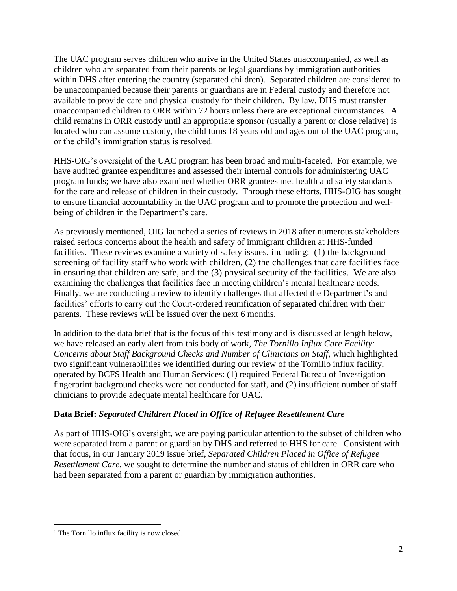The UAC program serves children who arrive in the United States unaccompanied, as well as children who are separated from their parents or legal guardians by immigration authorities within DHS after entering the country (separated children). Separated children are considered to be unaccompanied because their parents or guardians are in Federal custody and therefore not available to provide care and physical custody for their children. By law, DHS must transfer unaccompanied children to ORR within 72 hours unless there are exceptional circumstances. A child remains in ORR custody until an appropriate sponsor (usually a parent or close relative) is located who can assume custody, the child turns 18 years old and ages out of the UAC program, or the child's immigration status is resolved.

HHS-OIG's oversight of the UAC program has been broad and multi-faceted. For example, we have audited grantee expenditures and assessed their internal controls for administering UAC program funds; we have also examined whether ORR grantees met health and safety standards for the care and release of children in their custody. Through these efforts, HHS-OIG has sought to ensure financial accountability in the UAC program and to promote the protection and wellbeing of children in the Department's care.

As previously mentioned, OIG launched a series of reviews in 2018 after numerous stakeholders raised serious concerns about the health and safety of immigrant children at HHS-funded facilities. These reviews examine a variety of safety issues, including: (1) the background screening of facility staff who work with children, (2) the challenges that care facilities face in ensuring that children are safe, and the (3) physical security of the facilities. We are also examining the challenges that facilities face in meeting children's mental healthcare needs. Finally, we are conducting a review to identify challenges that affected the Department's and facilities' efforts to carry out the Court-ordered reunification of separated children with their parents. These reviews will be issued over the next 6 months.

In addition to the data brief that is the focus of this testimony and is discussed at length below, we have released an early alert from this body of work, *[The Tornillo Influx Care Facility:](https://oig.hhs.gov/oas/reports/region12/121920000.pdf)  [Concerns about Staff Background Checks and Number of Clinicians on Staff](https://oig.hhs.gov/oas/reports/region12/121920000.pdf)*, which highlighted two significant vulnerabilities we identified during our review of the Tornillo influx facility, operated by BCFS Health and Human Services: (1) required Federal Bureau of Investigation fingerprint background checks were not conducted for staff, and (2) insufficient number of staff clinicians to provide adequate mental healthcare for  $UAC<sup>1</sup>$ 

#### **Data Brief:** *[Separated Children Placed in Office of Refugee Resettlement Care](https://oig.hhs.gov/oei/reports/oei-BL-18-00511.asp)*

As part of HHS-OIG's oversight, we are paying particular attention to the subset of children who were separated from a parent or guardian by DHS and referred to HHS for care. Consistent with that focus, in our January 2019 issue brief, *[Separated Children Placed in Office of Refugee](https://oig.hhs.gov/oei/reports/oei-BL-18-00511.asp)  [Resettlement Care](https://oig.hhs.gov/oei/reports/oei-BL-18-00511.asp)*, we sought to determine the number and status of children in ORR care who had been separated from a parent or guardian by immigration authorities.

 $\overline{\phantom{a}}$ 

<sup>&</sup>lt;sup>1</sup> The Tornillo influx facility is now closed.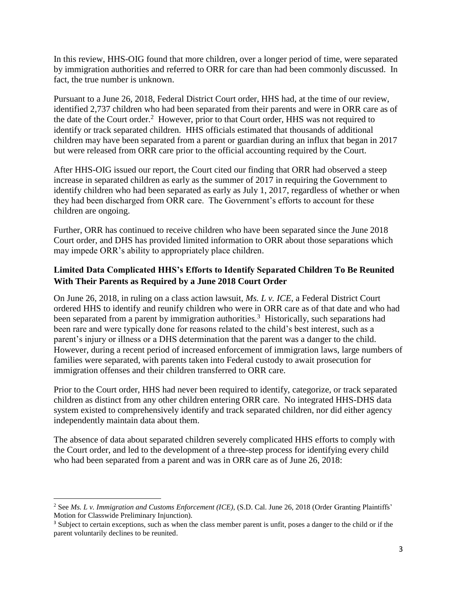In this review, HHS-OIG found that more children, over a longer period of time, were separated by immigration authorities and referred to ORR for care than had been commonly discussed. In fact, the true number is unknown.

Pursuant to a June 26, 2018, Federal District Court order, HHS had, at the time of our review, identified 2,737 children who had been separated from their parents and were in ORR care as of the date of the Court order.<sup>2</sup> However, prior to that Court order, HHS was not required to identify or track separated children. HHS officials estimated that thousands of additional children may have been separated from a parent or guardian during an influx that began in 2017 but were released from ORR care prior to the official accounting required by the Court.

After HHS-OIG issued our report, the Court cited our finding that ORR had observed a steep increase in separated children as early as the summer of 2017 in requiring the Government to identify children who had been separated as early as July 1, 2017, regardless of whether or when they had been discharged from ORR care. The Government's efforts to account for these children are ongoing.

Further, ORR has continued to receive children who have been separated since the June 2018 Court order, and DHS has provided limited information to ORR about those separations which may impede ORR's ability to appropriately place children.

#### **Limited Data Complicated HHS's Efforts to Identify Separated Children To Be Reunited With Their Parents as Required by a June 2018 Court Order**

On June 26, 2018, in ruling on a class action lawsuit, *Ms. L v. ICE*, a Federal District Court ordered HHS to identify and reunify children who were in ORR care as of that date and who had been separated from a parent by immigration authorities.<sup>3</sup> Historically, such separations had been rare and were typically done for reasons related to the child's best interest, such as a parent's injury or illness or a DHS determination that the parent was a danger to the child. However, during a recent period of increased enforcement of immigration laws, large numbers of families were separated, with parents taken into Federal custody to await prosecution for immigration offenses and their children transferred to ORR care.

Prior to the Court order, HHS had never been required to identify, categorize, or track separated children as distinct from any other children entering ORR care. No integrated HHS-DHS data system existed to comprehensively identify and track separated children, nor did either agency independently maintain data about them.

The absence of data about separated children severely complicated HHS efforts to comply with the Court order, and led to the development of a three-step process for identifying every child who had been separated from a parent and was in ORR care as of June 26, 2018:

 $\overline{a}$ 

<sup>2</sup> See *Ms. L v. Immigration and Customs Enforcement (ICE)*, (S.D. Cal. June 26, 2018 (Order Granting Plaintiffs' Motion for Classwide Preliminary Injunction).

<sup>&</sup>lt;sup>3</sup> Subject to certain exceptions, such as when the class member parent is unfit, poses a danger to the child or if the parent voluntarily declines to be reunited.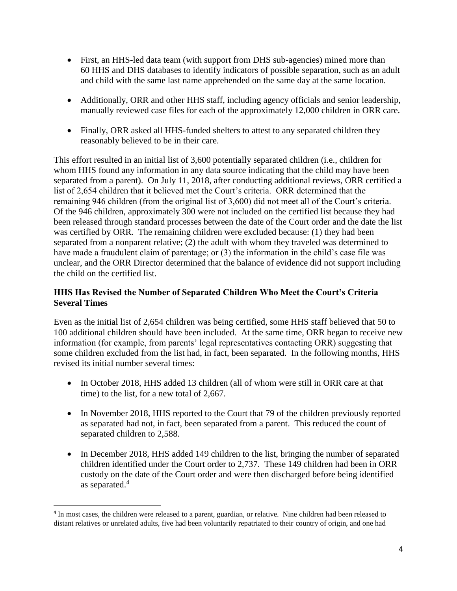- First, an HHS-led data team (with support from DHS sub-agencies) mined more than 60 HHS and DHS databases to identify indicators of possible separation, such as an adult and child with the same last name apprehended on the same day at the same location.
- Additionally, ORR and other HHS staff, including agency officials and senior leadership, manually reviewed case files for each of the approximately 12,000 children in ORR care.
- Finally, ORR asked all HHS-funded shelters to attest to any separated children they reasonably believed to be in their care.

This effort resulted in an initial list of 3,600 potentially separated children (i.e., children for whom HHS found any information in any data source indicating that the child may have been separated from a parent). On July 11, 2018, after conducting additional reviews, ORR certified a list of 2,654 children that it believed met the Court's criteria. ORR determined that the remaining 946 children (from the original list of 3,600) did not meet all of the Court's criteria. Of the 946 children, approximately 300 were not included on the certified list because they had been released through standard processes between the date of the Court order and the date the list was certified by ORR. The remaining children were excluded because: (1) they had been separated from a nonparent relative; (2) the adult with whom they traveled was determined to have made a fraudulent claim of parentage; or (3) the information in the child's case file was unclear, and the ORR Director determined that the balance of evidence did not support including the child on the certified list.

#### **HHS Has Revised the Number of Separated Children Who Meet the Court's Criteria Several Times**

Even as the initial list of 2,654 children was being certified, some HHS staff believed that 50 to 100 additional children should have been included. At the same time, ORR began to receive new information (for example, from parents' legal representatives contacting ORR) suggesting that some children excluded from the list had, in fact, been separated. In the following months, HHS revised its initial number several times:

- In October 2018, HHS added 13 children (all of whom were still in ORR care at that time) to the list, for a new total of 2,667.
- In November 2018, HHS reported to the Court that 79 of the children previously reported as separated had not, in fact, been separated from a parent. This reduced the count of separated children to 2,588.
- In December 2018, HHS added 149 children to the list, bringing the number of separated children identified under the Court order to 2,737. These 149 children had been in ORR custody on the date of the Court order and were then discharged before being identified as separated.<sup>4</sup>

 $\overline{\phantom{a}}$ <sup>4</sup> In most cases, the children were released to a parent, guardian, or relative. Nine children had been released to distant relatives or unrelated adults, five had been voluntarily repatriated to their country of origin, and one had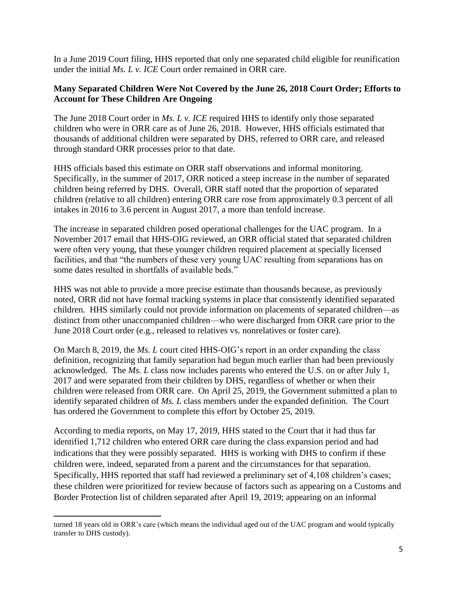In a June 2019 Court filing, HHS reported that only one separated child eligible for reunification under the initial *Ms. L v. ICE* Court order remained in ORR care.

#### **Many Separated Children Were Not Covered by the June 26, 2018 Court Order; Efforts to Account for These Children Are Ongoing**

The June 2018 Court order in *Ms. L v. ICE* required HHS to identify only those separated children who were in ORR care as of June 26, 2018. However, HHS officials estimated that thousands of additional children were separated by DHS, referred to ORR care, and released through standard ORR processes prior to that date.

HHS officials based this estimate on ORR staff observations and informal monitoring. Specifically, in the summer of 2017, ORR noticed a steep increase in the number of separated children being referred by DHS. Overall, ORR staff noted that the proportion of separated children (relative to all children) entering ORR care rose from approximately 0.3 percent of all intakes in 2016 to 3.6 percent in August 2017, a more than tenfold increase.

The increase in separated children posed operational challenges for the UAC program. In a November 2017 email that HHS-OIG reviewed, an ORR official stated that separated children were often very young, that these younger children required placement at specially licensed facilities, and that "the numbers of these very young UAC resulting from separations has on some dates resulted in shortfalls of available beds."

HHS was not able to provide a more precise estimate than thousands because, as previously noted, ORR did not have formal tracking systems in place that consistently identified separated children. HHS similarly could not provide information on placements of separated children—as distinct from other unaccompanied children—who were discharged from ORR care prior to the June 2018 Court order (e.g., released to relatives vs. nonrelatives or foster care).

On March 8, 2019, the *Ms. L* court cited HHS-OIG's report in an order expanding the class definition, recognizing that family separation had begun much earlier than had been previously acknowledged. The *Ms. L* class now includes parents who entered the U.S. on or after July 1, 2017 and were separated from their children by DHS, regardless of whether or when their children were released from ORR care. On April 25, 2019, the Government submitted a plan to identify separated children of *Ms. L* class members under the expanded definition. The Court has ordered the Government to complete this effort by October 25, 2019.

According to media reports, on May 17, 2019, HHS stated to the Court that it had thus far identified 1,712 children who entered ORR care during the class expansion period and had indications that they were possibly separated. HHS is working with DHS to confirm if these children were, indeed, separated from a parent and the circumstances for that separation. Specifically, HHS reported that staff had reviewed a preliminary set of 4,108 children's cases; these children were prioritized for review because of factors such as appearing on a Customs and Border Protection list of children separated after April 19, 2019; appearing on an informal

 $\overline{a}$ 

turned 18 years old in ORR's care (which means the individual aged out of the UAC program and would typically transfer to DHS custody).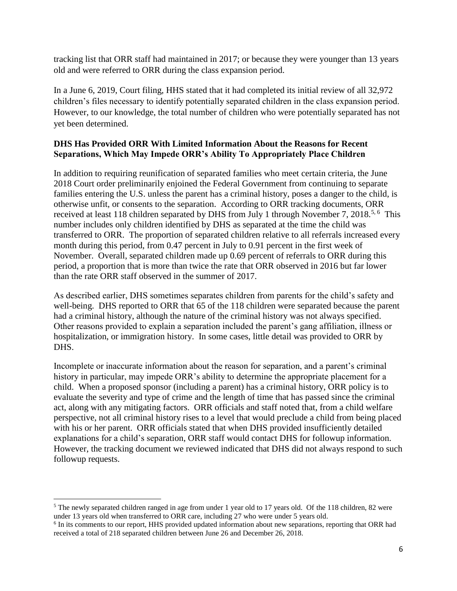tracking list that ORR staff had maintained in 2017; or because they were younger than 13 years old and were referred to ORR during the class expansion period.

In a June 6, 2019, Court filing, HHS stated that it had completed its initial review of all 32,972 children's files necessary to identify potentially separated children in the class expansion period. However, to our knowledge, the total number of children who were potentially separated has not yet been determined.

### **DHS Has Provided ORR With Limited Information About the Reasons for Recent Separations, Which May Impede ORR's Ability To Appropriately Place Children**

In addition to requiring reunification of separated families who meet certain criteria, the June 2018 Court order preliminarily enjoined the Federal Government from continuing to separate families entering the U.S. unless the parent has a criminal history, poses a danger to the child, is otherwise unfit, or consents to the separation. According to ORR tracking documents, ORR received at least 118 children separated by DHS from July 1 through November 7, 2018.<sup>5, 6</sup> This number includes only children identified by DHS as separated at the time the child was transferred to ORR. The proportion of separated children relative to all referrals increased every month during this period, from 0.47 percent in July to 0.91 percent in the first week of November. Overall, separated children made up 0.69 percent of referrals to ORR during this period, a proportion that is more than twice the rate that ORR observed in 2016 but far lower than the rate ORR staff observed in the summer of 2017.

As described earlier, DHS sometimes separates children from parents for the child's safety and well-being. DHS reported to ORR that 65 of the 118 children were separated because the parent had a criminal history, although the nature of the criminal history was not always specified. Other reasons provided to explain a separation included the parent's gang affiliation, illness or hospitalization, or immigration history. In some cases, little detail was provided to ORR by DHS.

Incomplete or inaccurate information about the reason for separation, and a parent's criminal history in particular, may impede ORR's ability to determine the appropriate placement for a child. When a proposed sponsor (including a parent) has a criminal history, ORR policy is to evaluate the severity and type of crime and the length of time that has passed since the criminal act, along with any mitigating factors. ORR officials and staff noted that, from a child welfare perspective, not all criminal history rises to a level that would preclude a child from being placed with his or her parent. ORR officials stated that when DHS provided insufficiently detailed explanations for a child's separation, ORR staff would contact DHS for followup information. However, the tracking document we reviewed indicated that DHS did not always respond to such followup requests.

 $\overline{a}$ 

<sup>&</sup>lt;sup>5</sup> The newly separated children ranged in age from under 1 year old to 17 years old. Of the 118 children, 82 were under 13 years old when transferred to ORR care, including 27 who were under 5 years old.

<sup>&</sup>lt;sup>6</sup> In its comments to our report, HHS provided updated information about new separations, reporting that ORR had received a total of 218 separated children between June 26 and December 26, 2018.